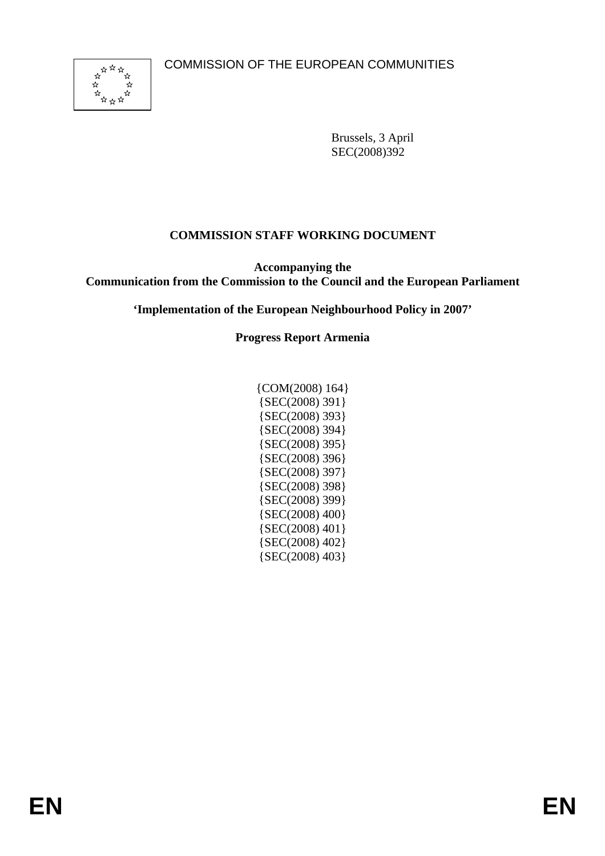

Brussels, 3 April SEC(2008)392

# **COMMISSION STAFF WORKING DOCUMENT**

**Accompanying the Communication from the Commission to the Council and the European Parliament** 

**'Implementation of the European Neighbourhood Policy in 2007'** 

### **Progress Report Armenia**

| $\{COM(2008) 164\}$ |
|---------------------|
| {SEC(2008) 391}     |
| {SEC(2008) 393}     |
| {SEC(2008) 394}     |
| {SEC(2008) 395}     |
| ${SEC(2008) 396}$   |
| ${SEC(2008) 397}$   |
| ${SEC(2008) 398}$   |
| {SEC(2008) 399}     |
| {SEC(2008) 400}     |
| ${SEC(2008) 401}$   |
| {SEC(2008) 402}     |
| ${SEC(2008) 403}$   |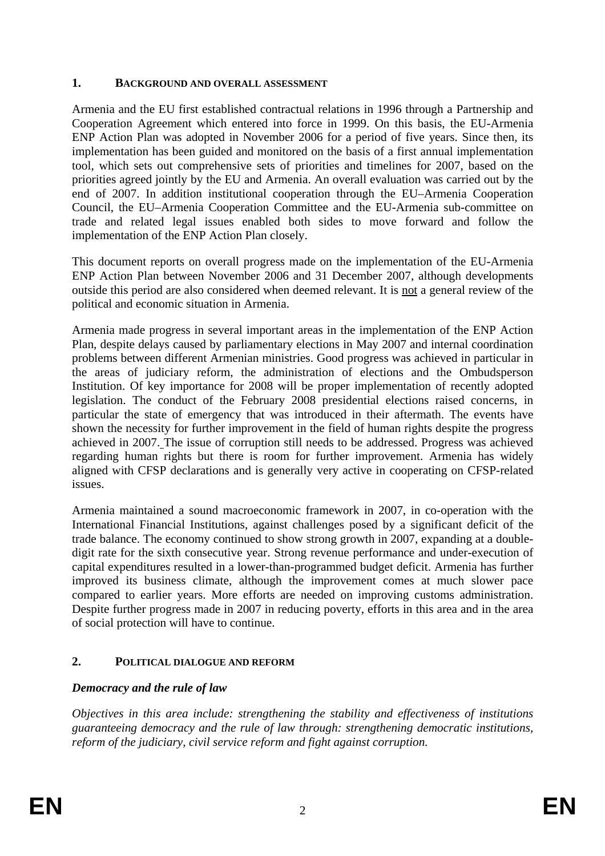# **1. BACKGROUND AND OVERALL ASSESSMENT**

Armenia and the EU first established contractual relations in 1996 through a Partnership and Cooperation Agreement which entered into force in 1999. On this basis, the EU-Armenia ENP Action Plan was adopted in November 2006 for a period of five years. Since then, its implementation has been guided and monitored on the basis of a first annual implementation tool, which sets out comprehensive sets of priorities and timelines for 2007, based on the priorities agreed jointly by the EU and Armenia. An overall evaluation was carried out by the end of 2007. In addition institutional cooperation through the EU–Armenia Cooperation Council, the EU–Armenia Cooperation Committee and the EU-Armenia sub-committee on trade and related legal issues enabled both sides to move forward and follow the implementation of the ENP Action Plan closely.

This document reports on overall progress made on the implementation of the EU-Armenia ENP Action Plan between November 2006 and 31 December 2007, although developments outside this period are also considered when deemed relevant. It is not a general review of the political and economic situation in Armenia.

Armenia made progress in several important areas in the implementation of the ENP Action Plan, despite delays caused by parliamentary elections in May 2007 and internal coordination problems between different Armenian ministries. Good progress was achieved in particular in the areas of judiciary reform, the administration of elections and the Ombudsperson Institution. Of key importance for 2008 will be proper implementation of recently adopted legislation. The conduct of the February 2008 presidential elections raised concerns, in particular the state of emergency that was introduced in their aftermath. The events have shown the necessity for further improvement in the field of human rights despite the progress achieved in 2007. The issue of corruption still needs to be addressed. Progress was achieved regarding human rights but there is room for further improvement. Armenia has widely aligned with CFSP declarations and is generally very active in cooperating on CFSP-related issues.

Armenia maintained a sound macroeconomic framework in 2007, in co-operation with the International Financial Institutions, against challenges posed by a significant deficit of the trade balance. The economy continued to show strong growth in 2007, expanding at a doubledigit rate for the sixth consecutive year. Strong revenue performance and under-execution of capital expenditures resulted in a lower-than-programmed budget deficit. Armenia has further improved its business climate, although the improvement comes at much slower pace compared to earlier years. More efforts are needed on improving customs administration. Despite further progress made in 2007 in reducing poverty, efforts in this area and in the area of social protection will have to continue.

# **2. POLITICAL DIALOGUE AND REFORM**

# *Democracy and the rule of law*

*Objectives in this area include: strengthening the stability and effectiveness of institutions guaranteeing democracy and the rule of law through: strengthening democratic institutions, reform of the judiciary, civil service reform and fight against corruption.*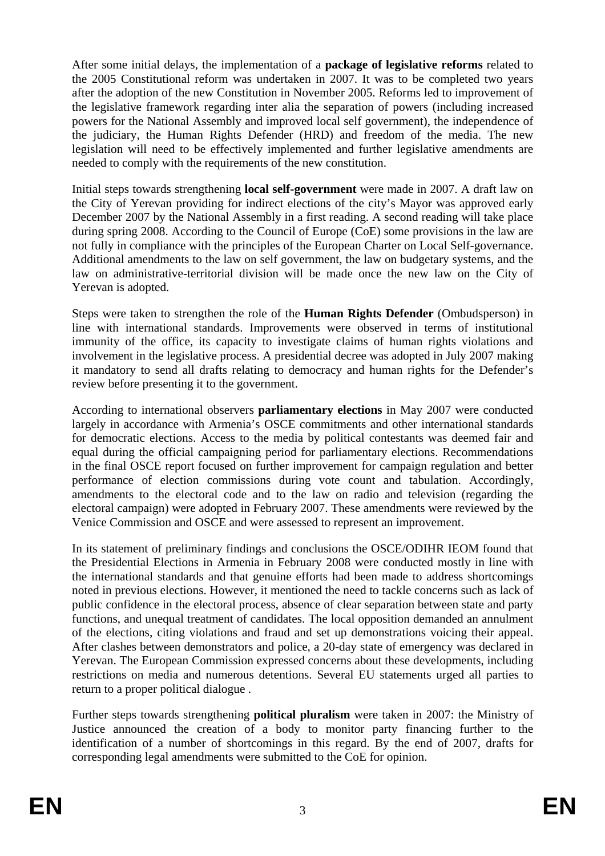After some initial delays, the implementation of a **package of legislative reforms** related to the 2005 Constitutional reform was undertaken in 2007. It was to be completed two years after the adoption of the new Constitution in November 2005. Reforms led to improvement of the legislative framework regarding inter alia the separation of powers (including increased powers for the National Assembly and improved local self government), the independence of the judiciary, the Human Rights Defender (HRD) and freedom of the media. The new legislation will need to be effectively implemented and further legislative amendments are needed to comply with the requirements of the new constitution.

Initial steps towards strengthening **local self-government** were made in 2007. A draft law on the City of Yerevan providing for indirect elections of the city's Mayor was approved early December 2007 by the National Assembly in a first reading. A second reading will take place during spring 2008. According to the Council of Europe (CoE) some provisions in the law are not fully in compliance with the principles of the European Charter on Local Self-governance. Additional amendments to the law on self government, the law on budgetary systems, and the law on administrative-territorial division will be made once the new law on the City of Yerevan is adopted.

Steps were taken to strengthen the role of the **Human Rights Defender** (Ombudsperson) in line with international standards. Improvements were observed in terms of institutional immunity of the office, its capacity to investigate claims of human rights violations and involvement in the legislative process. A presidential decree was adopted in July 2007 making it mandatory to send all drafts relating to democracy and human rights for the Defender's review before presenting it to the government.

According to international observers **parliamentary elections** in May 2007 were conducted largely in accordance with Armenia's OSCE commitments and other international standards for democratic elections. Access to the media by political contestants was deemed fair and equal during the official campaigning period for parliamentary elections. Recommendations in the final OSCE report focused on further improvement for campaign regulation and better performance of election commissions during vote count and tabulation. Accordingly, amendments to the electoral code and to the law on radio and television (regarding the electoral campaign) were adopted in February 2007. These amendments were reviewed by the Venice Commission and OSCE and were assessed to represent an improvement.

In its statement of preliminary findings and conclusions the OSCE/ODIHR IEOM found that the Presidential Elections in Armenia in February 2008 were conducted mostly in line with the international standards and that genuine efforts had been made to address shortcomings noted in previous elections. However, it mentioned the need to tackle concerns such as lack of public confidence in the electoral process, absence of clear separation between state and party functions, and unequal treatment of candidates. The local opposition demanded an annulment of the elections, citing violations and fraud and set up demonstrations voicing their appeal. After clashes between demonstrators and police, a 20-day state of emergency was declared in Yerevan. The European Commission expressed concerns about these developments, including restrictions on media and numerous detentions. Several EU statements urged all parties to return to a proper political dialogue .

Further steps towards strengthening **political pluralism** were taken in 2007: the Ministry of Justice announced the creation of a body to monitor party financing further to the identification of a number of shortcomings in this regard. By the end of 2007, drafts for corresponding legal amendments were submitted to the CoE for opinion.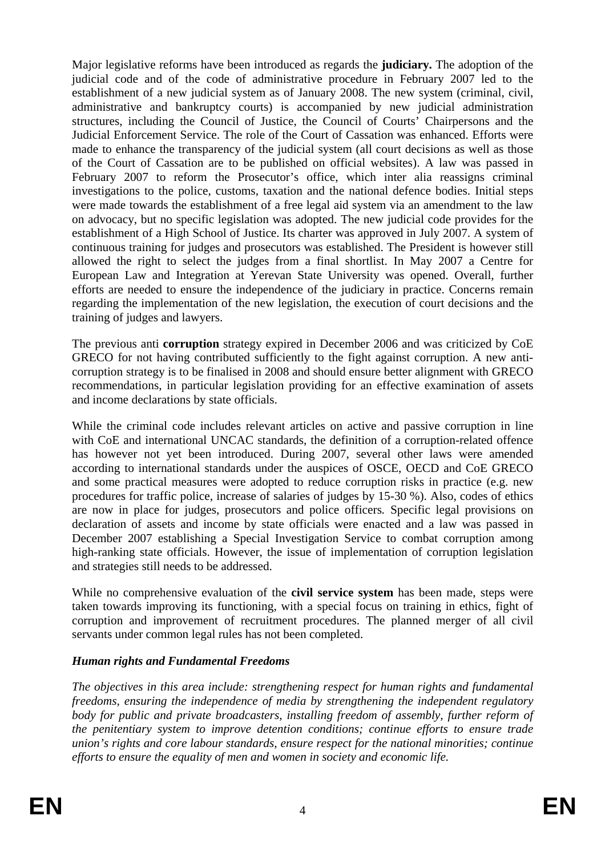Major legislative reforms have been introduced as regards the **judiciary.** The adoption of the judicial code and of the code of administrative procedure in February 2007 led to the establishment of a new judicial system as of January 2008. The new system (criminal, civil, administrative and bankruptcy courts) is accompanied by new judicial administration structures, including the Council of Justice, the Council of Courts' Chairpersons and the Judicial Enforcement Service. The role of the Court of Cassation was enhanced. Efforts were made to enhance the transparency of the judicial system (all court decisions as well as those of the Court of Cassation are to be published on official websites). A law was passed in February 2007 to reform the Prosecutor's office, which inter alia reassigns criminal investigations to the police, customs, taxation and the national defence bodies. Initial steps were made towards the establishment of a free legal aid system via an amendment to the law on advocacy, but no specific legislation was adopted. The new judicial code provides for the establishment of a High School of Justice. Its charter was approved in July 2007. A system of continuous training for judges and prosecutors was established. The President is however still allowed the right to select the judges from a final shortlist. In May 2007 a Centre for European Law and Integration at Yerevan State University was opened. Overall, further efforts are needed to ensure the independence of the judiciary in practice. Concerns remain regarding the implementation of the new legislation, the execution of court decisions and the training of judges and lawyers.

The previous anti **corruption** strategy expired in December 2006 and was criticized by CoE GRECO for not having contributed sufficiently to the fight against corruption. A new anticorruption strategy is to be finalised in 2008 and should ensure better alignment with GRECO recommendations, in particular legislation providing for an effective examination of assets and income declarations by state officials.

While the criminal code includes relevant articles on active and passive corruption in line with CoE and international UNCAC standards, the definition of a corruption-related offence has however not yet been introduced. During 2007, several other laws were amended according to international standards under the auspices of OSCE, OECD and CoE GRECO and some practical measures were adopted to reduce corruption risks in practice (e.g. new procedures for traffic police, increase of salaries of judges by 15-30 %). Also, codes of ethics are now in place for judges, prosecutors and police officers*.* Specific legal provisions on declaration of assets and income by state officials were enacted and a law was passed in December 2007 establishing a Special Investigation Service to combat corruption among high-ranking state officials. However, the issue of implementation of corruption legislation and strategies still needs to be addressed.

While no comprehensive evaluation of the **civil service system** has been made, steps were taken towards improving its functioning, with a special focus on training in ethics, fight of corruption and improvement of recruitment procedures. The planned merger of all civil servants under common legal rules has not been completed.

# *Human rights and Fundamental Freedoms*

*The objectives in this area include: strengthening respect for human rights and fundamental freedoms, ensuring the independence of media by strengthening the independent regulatory*  body for public and private broadcasters, installing freedom of assembly, further reform of *the penitentiary system to improve detention conditions; continue efforts to ensure trade union's rights and core labour standards, ensure respect for the national minorities; continue efforts to ensure the equality of men and women in society and economic life.*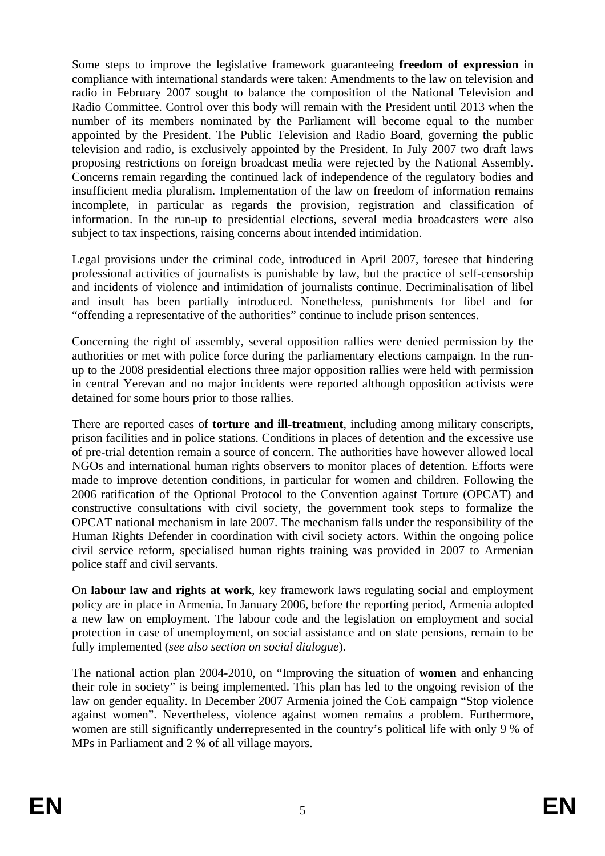Some steps to improve the legislative framework guaranteeing **freedom of expression** in compliance with international standards were taken: Amendments to the law on television and radio in February 2007 sought to balance the composition of the National Television and Radio Committee. Control over this body will remain with the President until 2013 when the number of its members nominated by the Parliament will become equal to the number appointed by the President. The Public Television and Radio Board, governing the public television and radio, is exclusively appointed by the President. In July 2007 two draft laws proposing restrictions on foreign broadcast media were rejected by the National Assembly. Concerns remain regarding the continued lack of independence of the regulatory bodies and insufficient media pluralism. Implementation of the law on freedom of information remains incomplete, in particular as regards the provision, registration and classification of information. In the run-up to presidential elections, several media broadcasters were also subject to tax inspections, raising concerns about intended intimidation.

Legal provisions under the criminal code, introduced in April 2007, foresee that hindering professional activities of journalists is punishable by law, but the practice of self-censorship and incidents of violence and intimidation of journalists continue. Decriminalisation of libel and insult has been partially introduced. Nonetheless, punishments for libel and for "offending a representative of the authorities" continue to include prison sentences.

Concerning the right of assembly, several opposition rallies were denied permission by the authorities or met with police force during the parliamentary elections campaign. In the runup to the 2008 presidential elections three major opposition rallies were held with permission in central Yerevan and no major incidents were reported although opposition activists were detained for some hours prior to those rallies.

There are reported cases of **torture and ill-treatment**, including among military conscripts, prison facilities and in police stations. Conditions in places of detention and the excessive use of pre-trial detention remain a source of concern. The authorities have however allowed local NGOs and international human rights observers to monitor places of detention. Efforts were made to improve detention conditions, in particular for women and children. Following the 2006 ratification of the Optional Protocol to the Convention against Torture (OPCAT) and constructive consultations with civil society, the government took steps to formalize the OPCAT national mechanism in late 2007. The mechanism falls under the responsibility of the Human Rights Defender in coordination with civil society actors. Within the ongoing police civil service reform, specialised human rights training was provided in 2007 to Armenian police staff and civil servants.

On **labour law and rights at work**, key framework laws regulating social and employment policy are in place in Armenia. In January 2006, before the reporting period, Armenia adopted a new law on employment. The labour code and the legislation on employment and social protection in case of unemployment, on social assistance and on state pensions, remain to be fully implemented (*see also section on social dialogue*).

The national action plan 2004-2010, on "Improving the situation of **women** and enhancing their role in society" is being implemented. This plan has led to the ongoing revision of the law on gender equality. In December 2007 Armenia joined the CoE campaign "Stop violence against women". Nevertheless, violence against women remains a problem. Furthermore, women are still significantly underrepresented in the country's political life with only 9 % of MPs in Parliament and 2 % of all village mayors.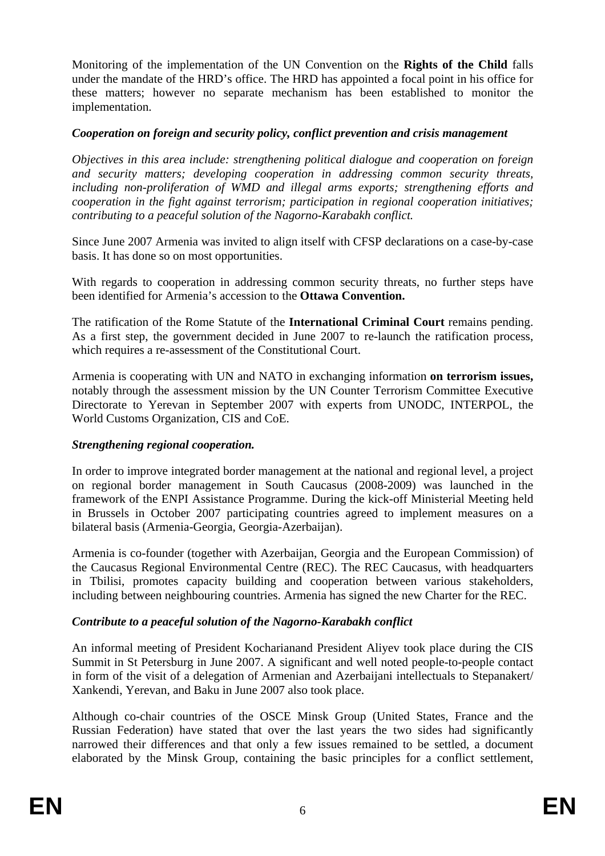Monitoring of the implementation of the UN Convention on the **Rights of the Child** falls under the mandate of the HRD's office. The HRD has appointed a focal point in his office for these matters; however no separate mechanism has been established to monitor the implementation.

## *Cooperation on foreign and security policy, conflict prevention and crisis management*

*Objectives in this area include: strengthening political dialogue and cooperation on foreign and security matters; developing cooperation in addressing common security threats, including non-proliferation of WMD and illegal arms exports; strengthening efforts and cooperation in the fight against terrorism; participation in regional cooperation initiatives; contributing to a peaceful solution of the Nagorno-Karabakh conflict.* 

Since June 2007 Armenia was invited to align itself with CFSP declarations on a case-by-case basis. It has done so on most opportunities.

With regards to cooperation in addressing common security threats, no further steps have been identified for Armenia's accession to the **Ottawa Convention.**

The ratification of the Rome Statute of the **International Criminal Court** remains pending. As a first step, the government decided in June 2007 to re-launch the ratification process, which requires a re-assessment of the Constitutional Court.

Armenia is cooperating with UN and NATO in exchanging information **on terrorism issues,**  notably through the assessment mission by the UN Counter Terrorism Committee Executive Directorate to Yerevan in September 2007 with experts from UNODC, INTERPOL, the World Customs Organization, CIS and CoE.

#### *Strengthening regional cooperation.*

In order to improve integrated border management at the national and regional level, a project on regional border management in South Caucasus (2008-2009) was launched in the framework of the ENPI Assistance Programme. During the kick-off Ministerial Meeting held in Brussels in October 2007 participating countries agreed to implement measures on a bilateral basis (Armenia-Georgia, Georgia-Azerbaijan).

Armenia is co-founder (together with Azerbaijan, Georgia and the European Commission) of the Caucasus Regional Environmental Centre (REC). The REC Caucasus, with headquarters in Tbilisi, promotes capacity building and cooperation between various stakeholders, including between neighbouring countries. Armenia has signed the new Charter for the REC.

# *Contribute to a peaceful solution of the Nagorno-Karabakh conflict*

An informal meeting of President Kocharianand President Aliyev took place during the CIS Summit in St Petersburg in June 2007. A significant and well noted people-to-people contact in form of the visit of a delegation of Armenian and Azerbaijani intellectuals to Stepanakert/ Xankendi, Yerevan, and Baku in June 2007 also took place.

Although co-chair countries of the OSCE Minsk Group (United States, France and the Russian Federation) have stated that over the last years the two sides had significantly narrowed their differences and that only a few issues remained to be settled, a document elaborated by the Minsk Group, containing the basic principles for a conflict settlement,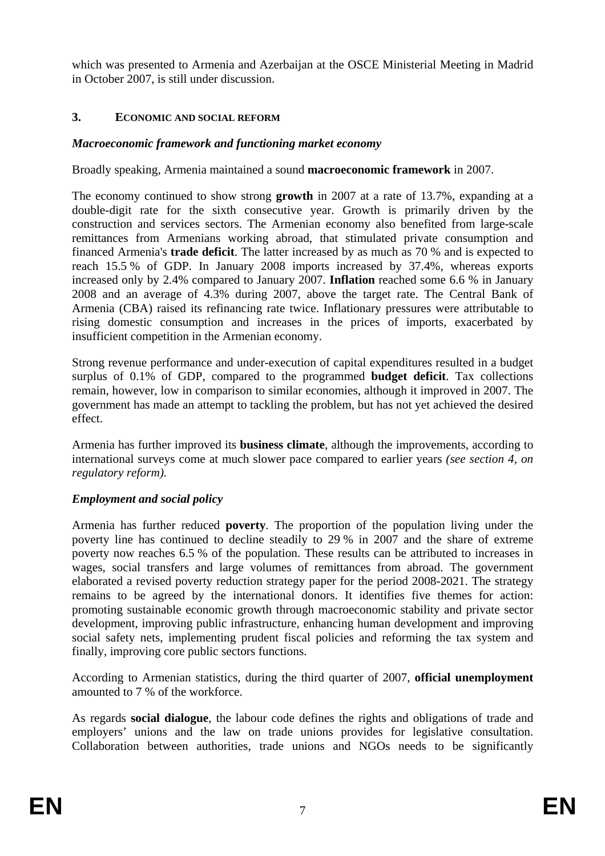which was presented to Armenia and Azerbaijan at the OSCE Ministerial Meeting in Madrid in October 2007, is still under discussion.

## **3. ECONOMIC AND SOCIAL REFORM**

### *Macroeconomic framework and functioning market economy*

#### Broadly speaking, Armenia maintained a sound **macroeconomic framework** in 2007.

The economy continued to show strong **growth** in 2007 at a rate of 13.7%, expanding at a double-digit rate for the sixth consecutive year. Growth is primarily driven by the construction and services sectors. The Armenian economy also benefited from large-scale remittances from Armenians working abroad, that stimulated private consumption and financed Armenia's **trade deficit**. The latter increased by as much as 70 % and is expected to reach 15.5 % of GDP. In January 2008 imports increased by 37.4%, whereas exports increased only by 2.4% compared to January 2007. **Inflation** reached some 6.6 % in January 2008 and an average of 4.3% during 2007, above the target rate. The Central Bank of Armenia (CBA) raised its refinancing rate twice. Inflationary pressures were attributable to rising domestic consumption and increases in the prices of imports, exacerbated by insufficient competition in the Armenian economy.

Strong revenue performance and under-execution of capital expenditures resulted in a budget surplus of 0.1% of GDP, compared to the programmed **budget deficit**. Tax collections remain, however, low in comparison to similar economies, although it improved in 2007. The government has made an attempt to tackling the problem, but has not yet achieved the desired effect.

Armenia has further improved its **business climate**, although the improvements, according to international surveys come at much slower pace compared to earlier years *(see section 4, on regulatory reform).*

#### *Employment and social policy*

Armenia has further reduced **poverty**. The proportion of the population living under the poverty line has continued to decline steadily to 29 % in 2007 and the share of extreme poverty now reaches 6.5 % of the population. These results can be attributed to increases in wages, social transfers and large volumes of remittances from abroad. The government elaborated a revised poverty reduction strategy paper for the period 2008-2021. The strategy remains to be agreed by the international donors. It identifies five themes for action: promoting sustainable economic growth through macroeconomic stability and private sector development, improving public infrastructure, enhancing human development and improving social safety nets, implementing prudent fiscal policies and reforming the tax system and finally, improving core public sectors functions.

According to Armenian statistics, during the third quarter of 2007, **official unemployment** amounted to 7 % of the workforce.

As regards **social dialogue**, the labour code defines the rights and obligations of trade and employers' unions and the law on trade unions provides for legislative consultation. Collaboration between authorities, trade unions and NGOs needs to be significantly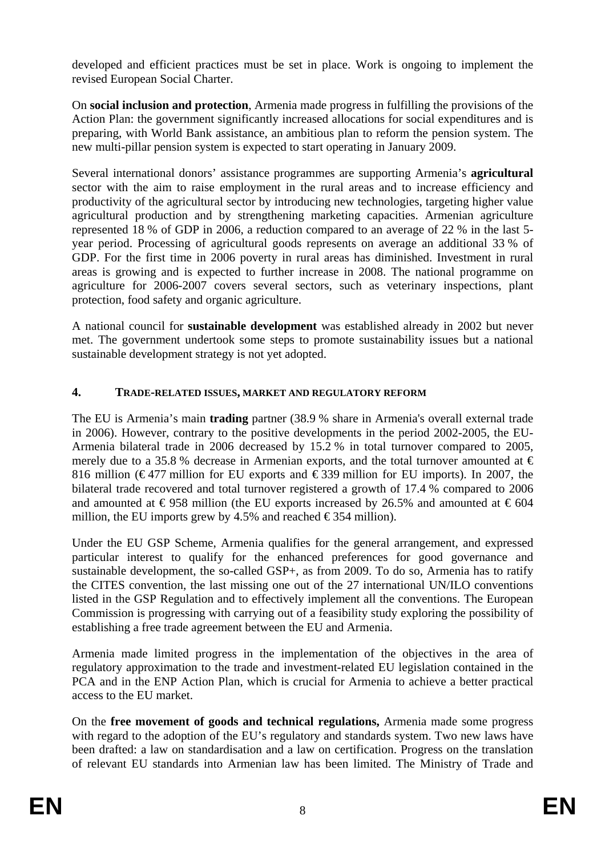developed and efficient practices must be set in place. Work is ongoing to implement the revised European Social Charter.

On **social inclusion and protection**, Armenia made progress in fulfilling the provisions of the Action Plan: the government significantly increased allocations for social expenditures and is preparing, with World Bank assistance, an ambitious plan to reform the pension system. The new multi-pillar pension system is expected to start operating in January 2009.

Several international donors' assistance programmes are supporting Armenia's **agricultural** sector with the aim to raise employment in the rural areas and to increase efficiency and productivity of the agricultural sector by introducing new technologies, targeting higher value agricultural production and by strengthening marketing capacities. Armenian agriculture represented 18 % of GDP in 2006, a reduction compared to an average of 22 % in the last 5 year period. Processing of agricultural goods represents on average an additional 33 % of GDP. For the first time in 2006 poverty in rural areas has diminished. Investment in rural areas is growing and is expected to further increase in 2008. The national programme on agriculture for 2006-2007 covers several sectors, such as veterinary inspections, plant protection, food safety and organic agriculture.

A national council for **sustainable development** was established already in 2002 but never met. The government undertook some steps to promote sustainability issues but a national sustainable development strategy is not yet adopted.

# **4. TRADE-RELATED ISSUES, MARKET AND REGULATORY REFORM**

The EU is Armenia's main **trading** partner (38.9 % share in Armenia's overall external trade in 2006). However, contrary to the positive developments in the period 2002-2005, the EU-Armenia bilateral trade in 2006 decreased by 15.2 % in total turnover compared to 2005, merely due to a 35.8 % decrease in Armenian exports, and the total turnover amounted at  $\epsilon$ 816 million (€477 million for EU exports and €339 million for EU imports). In 2007, the bilateral trade recovered and total turnover registered a growth of 17.4 % compared to 2006 and amounted at  $\text{\textsterling}958$  million (the EU exports increased by 26.5% and amounted at  $\text{\textsterling}604$ million, the EU imports grew by 4.5% and reached  $\epsilon$ 354 million).

Under the EU GSP Scheme, Armenia qualifies for the general arrangement, and expressed particular interest to qualify for the enhanced preferences for good governance and sustainable development, the so-called GSP+, as from 2009. To do so, Armenia has to ratify the CITES convention, the last missing one out of the 27 international UN/ILO conventions listed in the GSP Regulation and to effectively implement all the conventions. The European Commission is progressing with carrying out of a feasibility study exploring the possibility of establishing a free trade agreement between the EU and Armenia.

Armenia made limited progress in the implementation of the objectives in the area of regulatory approximation to the trade and investment-related EU legislation contained in the PCA and in the ENP Action Plan, which is crucial for Armenia to achieve a better practical access to the EU market.

On the **free movement of goods and technical regulations,** Armenia made some progress with regard to the adoption of the EU's regulatory and standards system. Two new laws have been drafted: a law on standardisation and a law on certification. Progress on the translation of relevant EU standards into Armenian law has been limited. The Ministry of Trade and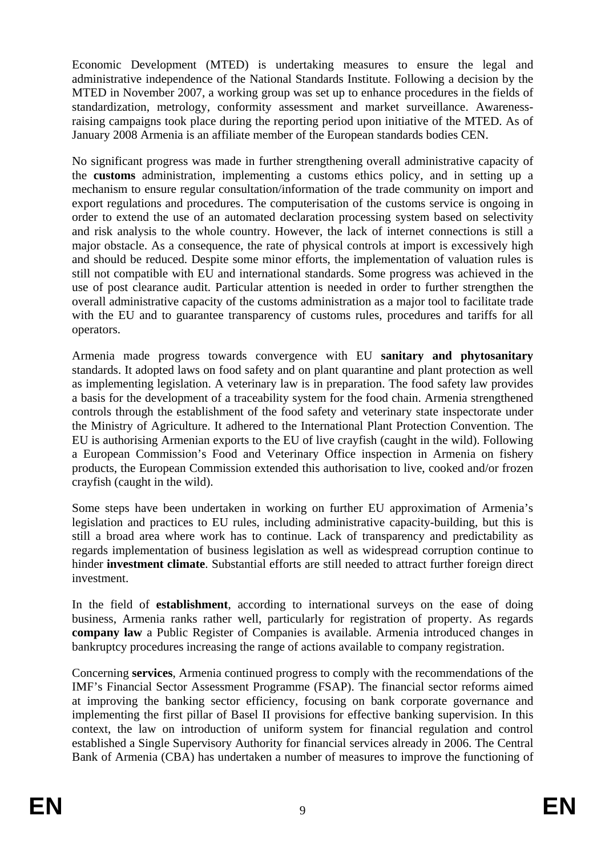Economic Development (MTED) is undertaking measures to ensure the legal and administrative independence of the National Standards Institute. Following a decision by the MTED in November 2007, a working group was set up to enhance procedures in the fields of standardization, metrology, conformity assessment and market surveillance. Awarenessraising campaigns took place during the reporting period upon initiative of the MTED. As of January 2008 Armenia is an affiliate member of the European standards bodies CEN.

No significant progress was made in further strengthening overall administrative capacity of the **customs** administration, implementing a customs ethics policy, and in setting up a mechanism to ensure regular consultation/information of the trade community on import and export regulations and procedures. The computerisation of the customs service is ongoing in order to extend the use of an automated declaration processing system based on selectivity and risk analysis to the whole country. However, the lack of internet connections is still a major obstacle. As a consequence, the rate of physical controls at import is excessively high and should be reduced. Despite some minor efforts, the implementation of valuation rules is still not compatible with EU and international standards. Some progress was achieved in the use of post clearance audit. Particular attention is needed in order to further strengthen the overall administrative capacity of the customs administration as a major tool to facilitate trade with the EU and to guarantee transparency of customs rules, procedures and tariffs for all operators.

Armenia made progress towards convergence with EU **sanitary and phytosanitary**  standards. It adopted laws on food safety and on plant quarantine and plant protection as well as implementing legislation. A veterinary law is in preparation. The food safety law provides a basis for the development of a traceability system for the food chain. Armenia strengthened controls through the establishment of the food safety and veterinary state inspectorate under the Ministry of Agriculture. It adhered to the International Plant Protection Convention. The EU is authorising Armenian exports to the EU of live crayfish (caught in the wild). Following a European Commission's Food and Veterinary Office inspection in Armenia on fishery products, the European Commission extended this authorisation to live, cooked and/or frozen crayfish (caught in the wild).

Some steps have been undertaken in working on further EU approximation of Armenia's legislation and practices to EU rules, including administrative capacity-building, but this is still a broad area where work has to continue. Lack of transparency and predictability as regards implementation of business legislation as well as widespread corruption continue to hinder **investment climate**. Substantial efforts are still needed to attract further foreign direct investment.

In the field of **establishment**, according to international surveys on the ease of doing business, Armenia ranks rather well, particularly for registration of property. As regards **company law** a Public Register of Companies is available. Armenia introduced changes in bankruptcy procedures increasing the range of actions available to company registration.

Concerning **services**, Armenia continued progress to comply with the recommendations of the IMF's Financial Sector Assessment Programme (FSAP). The financial sector reforms aimed at improving the banking sector efficiency, focusing on bank corporate governance and implementing the first pillar of Basel II provisions for effective banking supervision. In this context, the law on introduction of uniform system for financial regulation and control established a Single Supervisory Authority for financial services already in 2006. The Central Bank of Armenia (CBA) has undertaken a number of measures to improve the functioning of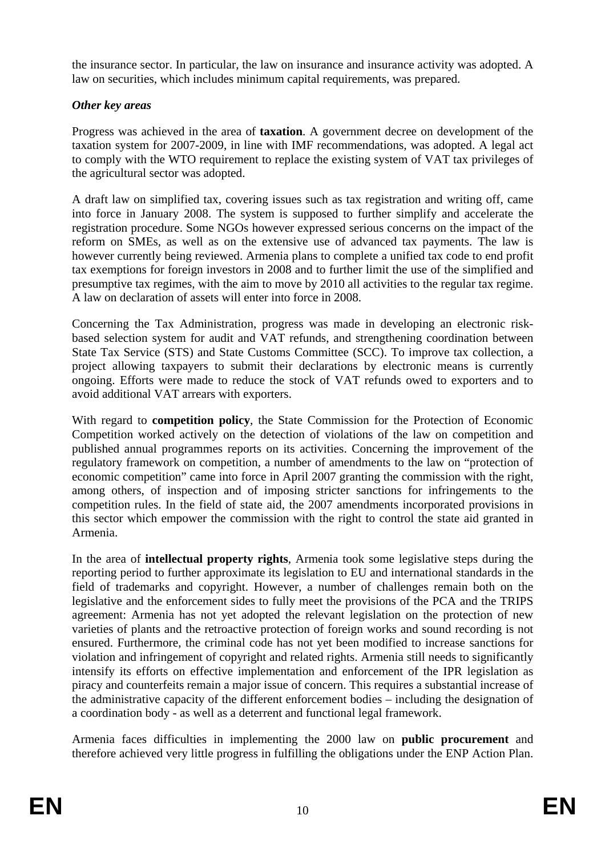the insurance sector. In particular, the law on insurance and insurance activity was adopted. A law on securities, which includes minimum capital requirements, was prepared.

# *Other key areas*

Progress was achieved in the area of **taxation**. A government decree on development of the taxation system for 2007-2009, in line with IMF recommendations, was adopted. A legal act to comply with the WTO requirement to replace the existing system of VAT tax privileges of the agricultural sector was adopted.

A draft law on simplified tax, covering issues such as tax registration and writing off, came into force in January 2008. The system is supposed to further simplify and accelerate the registration procedure. Some NGOs however expressed serious concerns on the impact of the reform on SMEs, as well as on the extensive use of advanced tax payments. The law is however currently being reviewed. Armenia plans to complete a unified tax code to end profit tax exemptions for foreign investors in 2008 and to further limit the use of the simplified and presumptive tax regimes, with the aim to move by 2010 all activities to the regular tax regime. A law on declaration of assets will enter into force in 2008.

Concerning the Tax Administration, progress was made in developing an electronic riskbased selection system for audit and VAT refunds, and strengthening coordination between State Tax Service (STS) and State Customs Committee (SCC). To improve tax collection, a project allowing taxpayers to submit their declarations by electronic means is currently ongoing. Efforts were made to reduce the stock of VAT refunds owed to exporters and to avoid additional VAT arrears with exporters.

With regard to **competition policy**, the State Commission for the Protection of Economic Competition worked actively on the detection of violations of the law on competition and published annual programmes reports on its activities. Concerning the improvement of the regulatory framework on competition, a number of amendments to the law on "protection of economic competition" came into force in April 2007 granting the commission with the right, among others, of inspection and of imposing stricter sanctions for infringements to the competition rules. In the field of state aid, the 2007 amendments incorporated provisions in this sector which empower the commission with the right to control the state aid granted in Armenia.

In the area of **intellectual property rights**, Armenia took some legislative steps during the reporting period to further approximate its legislation to EU and international standards in the field of trademarks and copyright. However, a number of challenges remain both on the legislative and the enforcement sides to fully meet the provisions of the PCA and the TRIPS agreement: Armenia has not yet adopted the relevant legislation on the protection of new varieties of plants and the retroactive protection of foreign works and sound recording is not ensured. Furthermore, the criminal code has not yet been modified to increase sanctions for violation and infringement of copyright and related rights. Armenia still needs to significantly intensify its efforts on effective implementation and enforcement of the IPR legislation as piracy and counterfeits remain a major issue of concern. This requires a substantial increase of the administrative capacity of the different enforcement bodies – including the designation of a coordination body - as well as a deterrent and functional legal framework.

Armenia faces difficulties in implementing the 2000 law on **public procurement** and therefore achieved very little progress in fulfilling the obligations under the ENP Action Plan.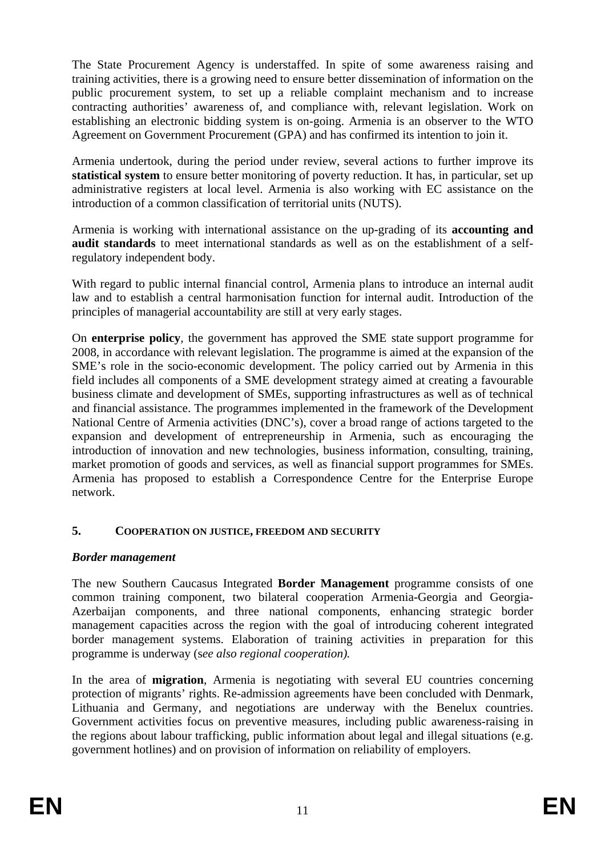The State Procurement Agency is understaffed. In spite of some awareness raising and training activities, there is a growing need to ensure better dissemination of information on the public procurement system, to set up a reliable complaint mechanism and to increase contracting authorities' awareness of, and compliance with, relevant legislation. Work on establishing an electronic bidding system is on-going. Armenia is an observer to the WTO Agreement on Government Procurement (GPA) and has confirmed its intention to join it.

Armenia undertook, during the period under review, several actions to further improve its **statistical system** to ensure better monitoring of poverty reduction. It has, in particular, set up administrative registers at local level. Armenia is also working with EC assistance on the introduction of a common classification of territorial units (NUTS).

Armenia is working with international assistance on the up-grading of its **accounting and audit standards** to meet international standards as well as on the establishment of a selfregulatory independent body.

With regard to public internal financial control, Armenia plans to introduce an internal audit law and to establish a central harmonisation function for internal audit. Introduction of the principles of managerial accountability are still at very early stages.

On **enterprise policy***,* the government has approved the SME state support programme for 2008, in accordance with relevant legislation. The programme is aimed at the expansion of the SME's role in the socio-economic development. The policy carried out by Armenia in this field includes all components of a SME development strategy aimed at creating a favourable business climate and development of SMEs, supporting infrastructures as well as of technical and financial assistance. The programmes implemented in the framework of the Development National Centre of Armenia activities (DNC's), cover a broad range of actions targeted to the expansion and development of entrepreneurship in Armenia, such as encouraging the introduction of innovation and new technologies, business information, consulting, training, market promotion of goods and services, as well as financial support programmes for SMEs. Armenia has proposed to establish a Correspondence Centre for the Enterprise Europe network.

# **5. COOPERATION ON JUSTICE, FREEDOM AND SECURITY**

# *Border management*

The new Southern Caucasus Integrated **Border Management** programme consists of one common training component, two bilateral cooperation Armenia-Georgia and Georgia-Azerbaijan components, and three national components, enhancing strategic border management capacities across the region with the goal of introducing coherent integrated border management systems. Elaboration of training activities in preparation for this programme is underway (s*ee also regional cooperation).* 

In the area of **migration**, Armenia is negotiating with several EU countries concerning protection of migrants' rights. Re-admission agreements have been concluded with Denmark, Lithuania and Germany, and negotiations are underway with the Benelux countries. Government activities focus on preventive measures, including public awareness-raising in the regions about labour trafficking, public information about legal and illegal situations (e.g. government hotlines) and on provision of information on reliability of employers.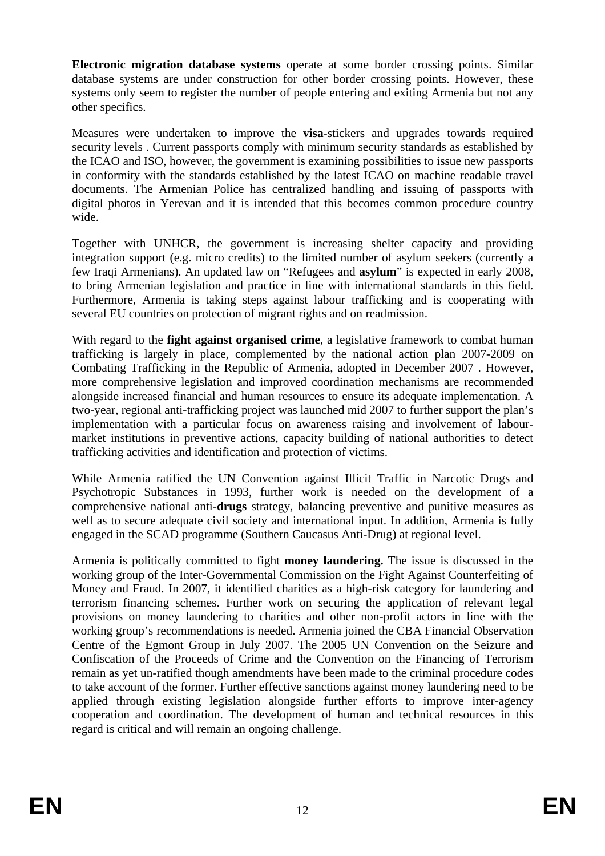**Electronic migration database systems** operate at some border crossing points. Similar database systems are under construction for other border crossing points. However, these systems only seem to register the number of people entering and exiting Armenia but not any other specifics.

Measures were undertaken to improve the **visa**-stickers and upgrades towards required security levels . Current passports comply with minimum security standards as established by the ICAO and ISO, however, the government is examining possibilities to issue new passports in conformity with the standards established by the latest ICAO on machine readable travel documents. The Armenian Police has centralized handling and issuing of passports with digital photos in Yerevan and it is intended that this becomes common procedure country wide.

Together with UNHCR, the government is increasing shelter capacity and providing integration support (e.g. micro credits) to the limited number of asylum seekers (currently a few Iraqi Armenians). An updated law on "Refugees and **asylum**" is expected in early 2008, to bring Armenian legislation and practice in line with international standards in this field. Furthermore, Armenia is taking steps against labour trafficking and is cooperating with several EU countries on protection of migrant rights and on readmission.

With regard to the **fight against organised crime**, a legislative framework to combat human trafficking is largely in place, complemented by the national action plan 2007-2009 on Combating Trafficking in the Republic of Armenia, adopted in December 2007 . However, more comprehensive legislation and improved coordination mechanisms are recommended alongside increased financial and human resources to ensure its adequate implementation. A two-year, regional anti-trafficking project was launched mid 2007 to further support the plan's implementation with a particular focus on awareness raising and involvement of labourmarket institutions in preventive actions, capacity building of national authorities to detect trafficking activities and identification and protection of victims.

While Armenia ratified the UN Convention against Illicit Traffic in Narcotic Drugs and Psychotropic Substances in 1993, further work is needed on the development of a comprehensive national anti-**drugs** strategy, balancing preventive and punitive measures as well as to secure adequate civil society and international input. In addition, Armenia is fully engaged in the SCAD programme (Southern Caucasus Anti-Drug) at regional level.

Armenia is politically committed to fight **money laundering.** The issue is discussed in the working group of the Inter-Governmental Commission on the Fight Against Counterfeiting of Money and Fraud. In 2007, it identified charities as a high-risk category for laundering and terrorism financing schemes. Further work on securing the application of relevant legal provisions on money laundering to charities and other non-profit actors in line with the working group's recommendations is needed. Armenia joined the CBA Financial Observation Centre of the Egmont Group in July 2007. The 2005 UN Convention on the Seizure and Confiscation of the Proceeds of Crime and the Convention on the Financing of Terrorism remain as yet un-ratified though amendments have been made to the criminal procedure codes to take account of the former. Further effective sanctions against money laundering need to be applied through existing legislation alongside further efforts to improve inter-agency cooperation and coordination. The development of human and technical resources in this regard is critical and will remain an ongoing challenge.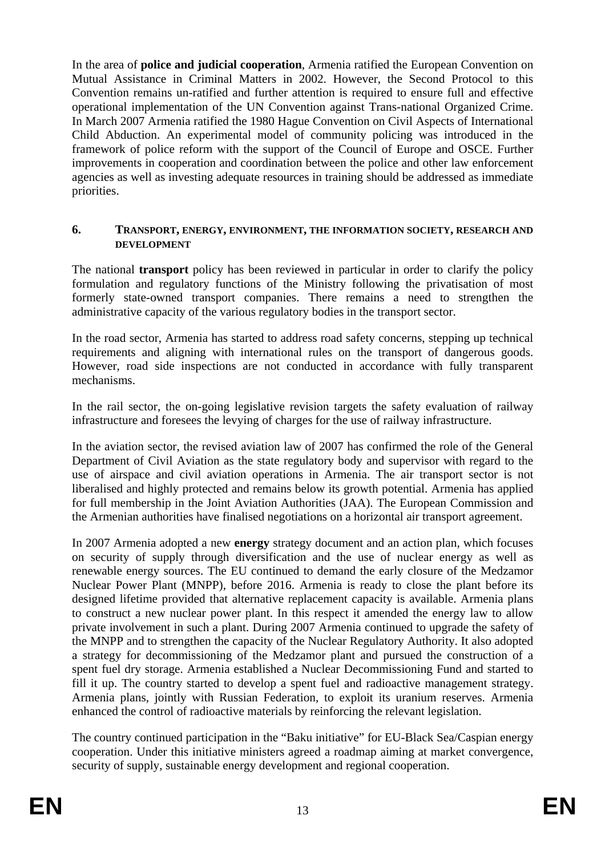In the area of **police and judicial cooperation**, Armenia ratified the European Convention on Mutual Assistance in Criminal Matters in 2002. However, the Second Protocol to this Convention remains un-ratified and further attention is required to ensure full and effective operational implementation of the UN Convention against Trans-national Organized Crime. In March 2007 Armenia ratified the 1980 Hague Convention on Civil Aspects of International Child Abduction. An experimental model of community policing was introduced in the framework of police reform with the support of the Council of Europe and OSCE. Further improvements in cooperation and coordination between the police and other law enforcement agencies as well as investing adequate resources in training should be addressed as immediate priorities.

#### **6. TRANSPORT, ENERGY, ENVIRONMENT, THE INFORMATION SOCIETY, RESEARCH AND DEVELOPMENT**

The national **transport** policy has been reviewed in particular in order to clarify the policy formulation and regulatory functions of the Ministry following the privatisation of most formerly state-owned transport companies. There remains a need to strengthen the administrative capacity of the various regulatory bodies in the transport sector.

In the road sector, Armenia has started to address road safety concerns, stepping up technical requirements and aligning with international rules on the transport of dangerous goods. However, road side inspections are not conducted in accordance with fully transparent mechanisms.

In the rail sector, the on-going legislative revision targets the safety evaluation of railway infrastructure and foresees the levying of charges for the use of railway infrastructure.

In the aviation sector, the revised aviation law of 2007 has confirmed the role of the General Department of Civil Aviation as the state regulatory body and supervisor with regard to the use of airspace and civil aviation operations in Armenia. The air transport sector is not liberalised and highly protected and remains below its growth potential. Armenia has applied for full membership in the Joint Aviation Authorities (JAA). The European Commission and the Armenian authorities have finalised negotiations on a horizontal air transport agreement.

In 2007 Armenia adopted a new **energy** strategy document and an action plan, which focuses on security of supply through diversification and the use of nuclear energy as well as renewable energy sources. The EU continued to demand the early closure of the Medzamor Nuclear Power Plant (MNPP), before 2016. Armenia is ready to close the plant before its designed lifetime provided that alternative replacement capacity is available. Armenia plans to construct a new nuclear power plant. In this respect it amended the energy law to allow private involvement in such a plant. During 2007 Armenia continued to upgrade the safety of the MNPP and to strengthen the capacity of the Nuclear Regulatory Authority. It also adopted a strategy for decommissioning of the Medzamor plant and pursued the construction of a spent fuel dry storage. Armenia established a Nuclear Decommissioning Fund and started to fill it up. The country started to develop a spent fuel and radioactive management strategy. Armenia plans, jointly with Russian Federation, to exploit its uranium reserves. Armenia enhanced the control of radioactive materials by reinforcing the relevant legislation.

The country continued participation in the "Baku initiative" for EU-Black Sea/Caspian energy cooperation. Under this initiative ministers agreed a roadmap aiming at market convergence, security of supply, sustainable energy development and regional cooperation.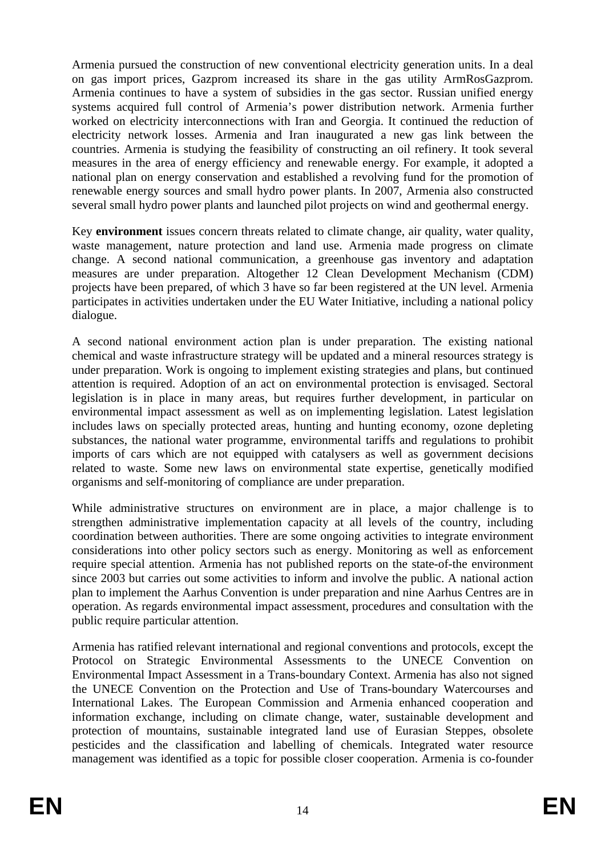Armenia pursued the construction of new conventional electricity generation units. In a deal on gas import prices, Gazprom increased its share in the gas utility ArmRosGazprom. Armenia continues to have a system of subsidies in the gas sector. Russian unified energy systems acquired full control of Armenia's power distribution network. Armenia further worked on electricity interconnections with Iran and Georgia. It continued the reduction of electricity network losses. Armenia and Iran inaugurated a new gas link between the countries. Armenia is studying the feasibility of constructing an oil refinery. It took several measures in the area of energy efficiency and renewable energy. For example, it adopted a national plan on energy conservation and established a revolving fund for the promotion of renewable energy sources and small hydro power plants. In 2007, Armenia also constructed several small hydro power plants and launched pilot projects on wind and geothermal energy.

Key **environment** issues concern threats related to climate change, air quality, water quality, waste management, nature protection and land use. Armenia made progress on climate change. A second national communication, a greenhouse gas inventory and adaptation measures are under preparation. Altogether 12 Clean Development Mechanism (CDM) projects have been prepared, of which 3 have so far been registered at the UN level. Armenia participates in activities undertaken under the EU Water Initiative, including a national policy dialogue.

A second national environment action plan is under preparation. The existing national chemical and waste infrastructure strategy will be updated and a mineral resources strategy is under preparation. Work is ongoing to implement existing strategies and plans, but continued attention is required. Adoption of an act on environmental protection is envisaged. Sectoral legislation is in place in many areas, but requires further development, in particular on environmental impact assessment as well as on implementing legislation. Latest legislation includes laws on specially protected areas, hunting and hunting economy, ozone depleting substances, the national water programme, environmental tariffs and regulations to prohibit imports of cars which are not equipped with catalysers as well as government decisions related to waste. Some new laws on environmental state expertise, genetically modified organisms and self-monitoring of compliance are under preparation.

While administrative structures on environment are in place, a major challenge is to strengthen administrative implementation capacity at all levels of the country, including coordination between authorities. There are some ongoing activities to integrate environment considerations into other policy sectors such as energy. Monitoring as well as enforcement require special attention. Armenia has not published reports on the state-of-the environment since 2003 but carries out some activities to inform and involve the public. A national action plan to implement the Aarhus Convention is under preparation and nine Aarhus Centres are in operation. As regards environmental impact assessment, procedures and consultation with the public require particular attention.

Armenia has ratified relevant international and regional conventions and protocols, except the Protocol on Strategic Environmental Assessments to the UNECE Convention on Environmental Impact Assessment in a Trans-boundary Context. Armenia has also not signed the UNECE Convention on the Protection and Use of Trans-boundary Watercourses and International Lakes. The European Commission and Armenia enhanced cooperation and information exchange, including on climate change, water, sustainable development and protection of mountains, sustainable integrated land use of Eurasian Steppes, obsolete pesticides and the classification and labelling of chemicals. Integrated water resource management was identified as a topic for possible closer cooperation. Armenia is co-founder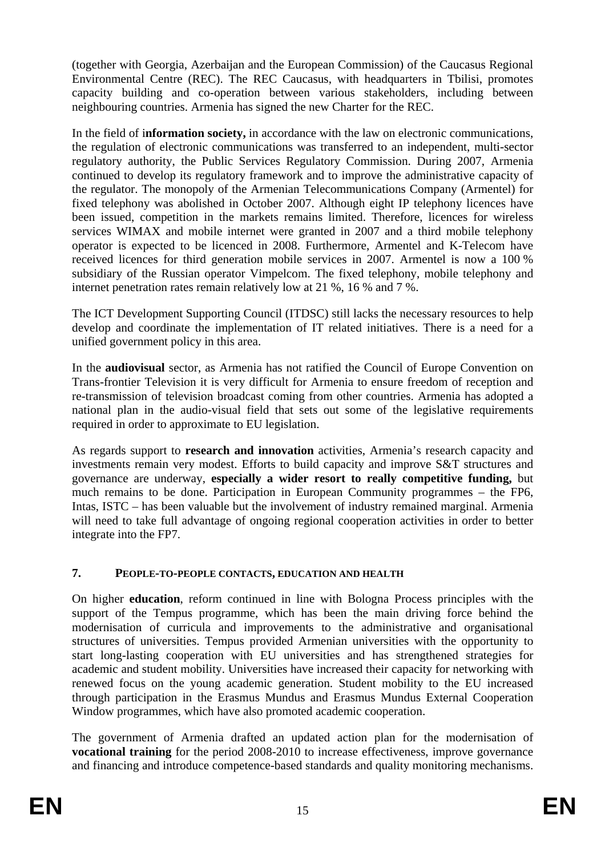(together with Georgia, Azerbaijan and the European Commission) of the Caucasus Regional Environmental Centre (REC). The REC Caucasus, with headquarters in Tbilisi, promotes capacity building and co-operation between various stakeholders, including between neighbouring countries. Armenia has signed the new Charter for the REC.

In the field of i**nformation society,** in accordance with the law on electronic communications, the regulation of electronic communications was transferred to an independent, multi-sector regulatory authority, the Public Services Regulatory Commission. During 2007, Armenia continued to develop its regulatory framework and to improve the administrative capacity of the regulator. The monopoly of the Armenian Telecommunications Company (Armentel) for fixed telephony was abolished in October 2007. Although eight IP telephony licences have been issued, competition in the markets remains limited. Therefore, licences for wireless services WIMAX and mobile internet were granted in 2007 and a third mobile telephony operator is expected to be licenced in 2008. Furthermore, Armentel and K-Telecom have received licences for third generation mobile services in 2007. Armentel is now a 100 % subsidiary of the Russian operator Vimpelcom. The fixed telephony, mobile telephony and internet penetration rates remain relatively low at 21 %, 16 % and 7 %.

The ICT Development Supporting Council (ITDSC) still lacks the necessary resources to help develop and coordinate the implementation of IT related initiatives. There is a need for a unified government policy in this area.

In the **audiovisual** sector, as Armenia has not ratified the Council of Europe Convention on Trans-frontier Television it is very difficult for Armenia to ensure freedom of reception and re-transmission of television broadcast coming from other countries. Armenia has adopted a national plan in the audio-visual field that sets out some of the legislative requirements required in order to approximate to EU legislation.

As regards support to **research and innovation** activities, Armenia's research capacity and investments remain very modest. Efforts to build capacity and improve S&T structures and governance are underway, **especially a wider resort to really competitive funding,** but much remains to be done. Participation in European Community programmes – the FP6, Intas, ISTC – has been valuable but the involvement of industry remained marginal. Armenia will need to take full advantage of ongoing regional cooperation activities in order to better integrate into the FP7.

# **7. PEOPLE-TO-PEOPLE CONTACTS, EDUCATION AND HEALTH**

On higher **education**, reform continued in line with Bologna Process principles with the support of the Tempus programme, which has been the main driving force behind the modernisation of curricula and improvements to the administrative and organisational structures of universities. Tempus provided Armenian universities with the opportunity to start long-lasting cooperation with EU universities and has strengthened strategies for academic and student mobility. Universities have increased their capacity for networking with renewed focus on the young academic generation. Student mobility to the EU increased through participation in the Erasmus Mundus and Erasmus Mundus External Cooperation Window programmes, which have also promoted academic cooperation.

The government of Armenia drafted an updated action plan for the modernisation of **vocational training** for the period 2008-2010 to increase effectiveness, improve governance and financing and introduce competence-based standards and quality monitoring mechanisms.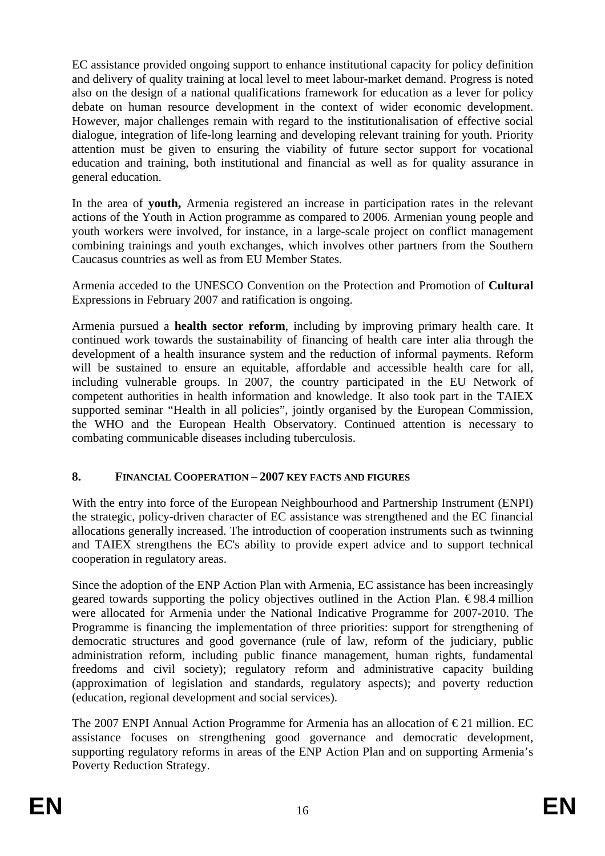EC assistance provided ongoing support to enhance institutional capacity for policy definition and delivery of quality training at local level to meet labour-market demand. Progress is noted also on the design of a national qualifications framework for education as a lever for policy debate on human resource development in the context of wider economic development. However, major challenges remain with regard to the institutionalisation of effective social dialogue, integration of life-long learning and developing relevant training for youth. Priority attention must be given to ensuring the viability of future sector support for vocational education and training, both institutional and financial as well as for quality assurance in general education.

In the area of **youth,** Armenia registered an increase in participation rates in the relevant actions of the Youth in Action programme as compared to 2006. Armenian young people and youth workers were involved, for instance, in a large-scale project on conflict management combining trainings and youth exchanges, which involves other partners from the Southern Caucasus countries as well as from EU Member States.

Armenia acceded to the UNESCO Convention on the Protection and Promotion of **Cultural** Expressions in February 2007 and ratification is ongoing.

Armenia pursued a **health sector reform**, including by improving primary health care. It continued work towards the sustainability of financing of health care inter alia through the development of a health insurance system and the reduction of informal payments. Reform will be sustained to ensure an equitable, affordable and accessible health care for all, including vulnerable groups. In 2007, the country participated in the EU Network of competent authorities in health information and knowledge. It also took part in the TAIEX supported seminar "Health in all policies", jointly organised by the European Commission, the WHO and the European Health Observatory. Continued attention is necessary to combating communicable diseases including tuberculosis.

# **8. FINANCIAL COOPERATION – 2007 KEY FACTS AND FIGURES**

With the entry into force of the European Neighbourhood and Partnership Instrument (ENPI) the strategic, policy-driven character of EC assistance was strengthened and the EC financial allocations generally increased. The introduction of cooperation instruments such as twinning and TAIEX strengthens the EC's ability to provide expert advice and to support technical cooperation in regulatory areas.

Since the adoption of the ENP Action Plan with Armenia, EC assistance has been increasingly geared towards supporting the policy objectives outlined in the Action Plan.  $\epsilon$ 98.4 million were allocated for Armenia under the National Indicative Programme for 2007-2010. The Programme is financing the implementation of three priorities: support for strengthening of democratic structures and good governance (rule of law, reform of the judiciary, public administration reform, including public finance management, human rights, fundamental freedoms and civil society); regulatory reform and administrative capacity building (approximation of legislation and standards, regulatory aspects); and poverty reduction (education, regional development and social services).

The 2007 ENPI Annual Action Programme for Armenia has an allocation of  $\epsilon$ 21 million. EC assistance focuses on strengthening good governance and democratic development, supporting regulatory reforms in areas of the ENP Action Plan and on supporting Armenia's Poverty Reduction Strategy.